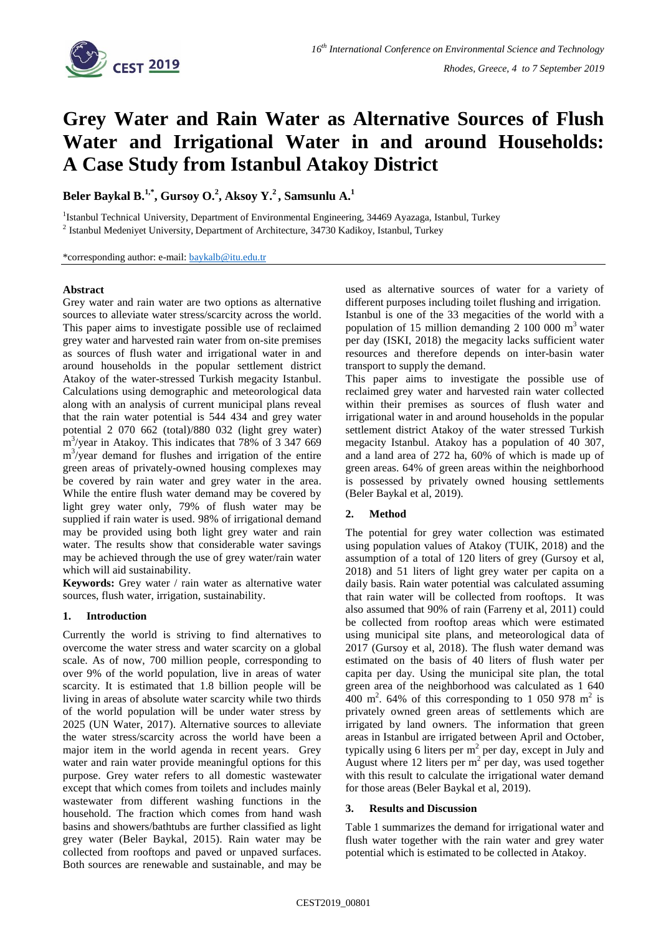

# **Grey Water and Rain Water as Alternative Sources of Flush Water and Irrigational Water in and around Households: A Case Study from Istanbul Atakoy District**

**Beler Baykal B.1,\*, Gursoy O.<sup>2</sup> , Aksoy Y.<sup>2</sup> , Samsunlu A.<sup>1</sup>**

<sup>1</sup>Istanbul Technical University, Department of Environmental Engineering, 34469 Ayazaga, Istanbul, Turkey <sup>2</sup> Istanbul Medeniyet University, Department of Architecture, 34730 Kadikoy, Istanbul, Turkey

\*corresponding author: e-mail: [baykalb@itu.edu.tr](mailto:baykalb@itu.edu.tr)

#### **Abstract**

Grey water and rain water are two options as alternative sources to alleviate water stress/scarcity across the world. This paper aims to investigate possible use of reclaimed grey water and harvested rain water from on-site premises as sources of flush water and irrigational water in and around households in the popular settlement district Atakoy of the water-stressed Turkish megacity Istanbul. Calculations using demographic and meteorological data along with an analysis of current municipal plans reveal that the rain water potential is 544 434 and grey water potential 2 070 662 (total)/880 032 (light grey water) m<sup>3</sup>/year in Atakoy. This indicates that 78% of 3 347 669 m<sup>3</sup>/year demand for flushes and irrigation of the entire green areas of privately-owned housing complexes may be covered by rain water and grey water in the area. While the entire flush water demand may be covered by light grey water only, 79% of flush water may be supplied if rain water is used. 98% of irrigational demand may be provided using both light grey water and rain water. The results show that considerable water savings may be achieved through the use of grey water/rain water which will aid sustainability.

**Keywords:** Grey water / rain water as alternative water sources, flush water, irrigation, sustainability.

### **1. Introduction**

Currently the world is striving to find alternatives to overcome the water stress and water scarcity on a global scale. As of now, 700 million people, corresponding to over 9% of the world population, live in areas of water scarcity. It is estimated that 1.8 billion people will be living in areas of absolute water scarcity while two thirds of the world population will be under water stress by 2025 (UN Water, 2017). Alternative sources to alleviate the water stress/scarcity across the world have been a major item in the world agenda in recent years. Grey water and rain water provide meaningful options for this purpose. Grey water refers to all domestic wastewater except that which comes from toilets and includes mainly wastewater from different washing functions in the household. The fraction which comes from hand wash basins and showers/bathtubs are further classified as light grey water (Beler Baykal, 2015). Rain water may be collected from rooftops and paved or unpaved surfaces. Both sources are renewable and sustainable, and may be

used as alternative sources of water for a variety of different purposes including toilet flushing and irrigation. Istanbul is one of the 33 megacities of the world with a population of 15 million demanding 2 100 000  $\text{m}^3$  water per day (ISKI, 2018) the megacity lacks sufficient water resources and therefore depends on inter-basin water transport to supply the demand.

This paper aims to investigate the possible use of reclaimed grey water and harvested rain water collected within their premises as sources of flush water and irrigational water in and around households in the popular settlement district Atakoy of the water stressed Turkish megacity Istanbul. Atakoy has a population of 40 307, and a land area of 272 ha, 60% of which is made up of green areas. 64% of green areas within the neighborhood is possessed by privately owned housing settlements (Beler Baykal et al, 2019).

### **2. Method**

The potential for grey water collection was estimated using population values of Atakoy (TUIK, 2018) and the assumption of a total of 120 liters of grey (Gursoy et al, 2018) and 51 liters of light grey water per capita on a daily basis. Rain water potential was calculated assuming that rain water will be collected from rooftops. It was also assumed that 90% of rain (Farreny et al, 2011) could be collected from rooftop areas which were estimated using municipal site plans, and meteorological data of 2017 (Gursoy et al, 2018). The flush water demand was estimated on the basis of 40 liters of flush water per capita per day. Using the municipal site plan, the total green area of the neighborhood was calculated as 1 640  $400 \text{ m}^2$ . 64% of this corresponding to 1 050 978 m<sup>2</sup> is privately owned green areas of settlements which are irrigated by land owners. The information that green areas in Istanbul are irrigated between April and October, typically using 6 liters per  $m<sup>2</sup>$  per day, except in July and August where  $12$  liters per  $m^2$  per day, was used together with this result to calculate the irrigational water demand for those areas (Beler Baykal et al, 2019).

### **3. Results and Discussion**

Table 1 summarizes the demand for irrigational water and flush water together with the rain water and grey water potential which is estimated to be collected in Atakoy.